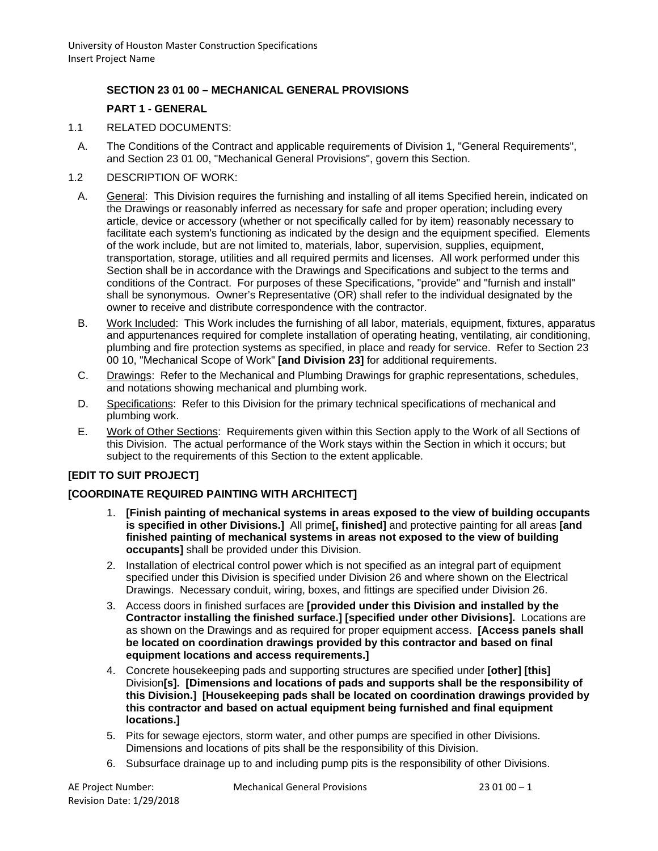# **SECTION 23 01 00 – MECHANICAL GENERAL PROVISIONS**

# **PART 1 - GENERAL**

- 1.1 RELATED DOCUMENTS:
	- A. The Conditions of the Contract and applicable requirements of Division 1, "General Requirements", and Section 23 01 00, "Mechanical General Provisions", govern this Section.
- 1.2 DESCRIPTION OF WORK:
	- A. General: This Division requires the furnishing and installing of all items Specified herein, indicated on the Drawings or reasonably inferred as necessary for safe and proper operation; including every article, device or accessory (whether or not specifically called for by item) reasonably necessary to facilitate each system's functioning as indicated by the design and the equipment specified. Elements of the work include, but are not limited to, materials, labor, supervision, supplies, equipment, transportation, storage, utilities and all required permits and licenses. All work performed under this Section shall be in accordance with the Drawings and Specifications and subject to the terms and conditions of the Contract. For purposes of these Specifications, "provide" and "furnish and install" shall be synonymous. Owner's Representative (OR) shall refer to the individual designated by the owner to receive and distribute correspondence with the contractor.
	- B. Work Included: This Work includes the furnishing of all labor, materials, equipment, fixtures, apparatus and appurtenances required for complete installation of operating heating, ventilating, air conditioning, plumbing and fire protection systems as specified, in place and ready for service. Refer to Section 23 00 10, "Mechanical Scope of Work" **[and Division 23]** for additional requirements.
	- C. Drawings: Refer to the Mechanical and Plumbing Drawings for graphic representations, schedules, and notations showing mechanical and plumbing work.
	- D. Specifications: Refer to this Division for the primary technical specifications of mechanical and plumbing work.
	- E. Work of Other Sections: Requirements given within this Section apply to the Work of all Sections of this Division. The actual performance of the Work stays within the Section in which it occurs; but subject to the requirements of this Section to the extent applicable.

# **[EDIT TO SUIT PROJECT]**

# **[COORDINATE REQUIRED PAINTING WITH ARCHITECT]**

- 1. **[Finish painting of mechanical systems in areas exposed to the view of building occupants is specified in other Divisions.]** All prime**[, finished]** and protective painting for all areas **[and finished painting of mechanical systems in areas not exposed to the view of building occupants]** shall be provided under this Division.
- 2. Installation of electrical control power which is not specified as an integral part of equipment specified under this Division is specified under Division 26 and where shown on the Electrical Drawings. Necessary conduit, wiring, boxes, and fittings are specified under Division 26.
- 3. Access doors in finished surfaces are **[provided under this Division and installed by the Contractor installing the finished surface.] [specified under other Divisions].** Locations are as shown on the Drawings and as required for proper equipment access. **[Access panels shall be located on coordination drawings provided by this contractor and based on final equipment locations and access requirements.]**
- 4. Concrete housekeeping pads and supporting structures are specified under **[other] [this]** Division**[s]. [Dimensions and locations of pads and supports shall be the responsibility of this Division.] [Housekeeping pads shall be located on coordination drawings provided by this contractor and based on actual equipment being furnished and final equipment locations.]**
- 5. Pits for sewage ejectors, storm water, and other pumps are specified in other Divisions. Dimensions and locations of pits shall be the responsibility of this Division.
- 6. Subsurface drainage up to and including pump pits is the responsibility of other Divisions.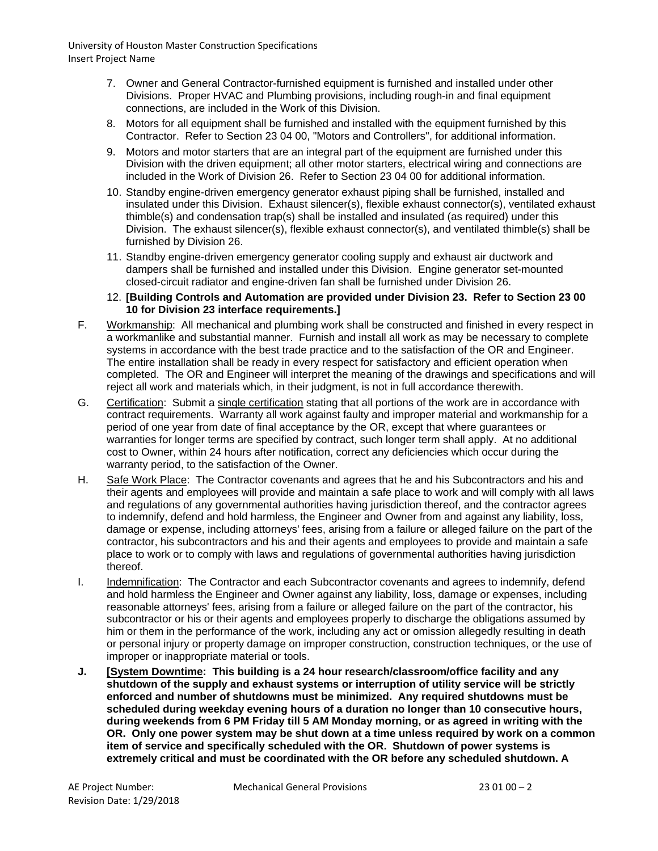- 7. Owner and General Contractor-furnished equipment is furnished and installed under other Divisions. Proper HVAC and Plumbing provisions, including rough-in and final equipment connections, are included in the Work of this Division.
- 8. Motors for all equipment shall be furnished and installed with the equipment furnished by this Contractor. Refer to Section 23 04 00, "Motors and Controllers", for additional information.
- 9. Motors and motor starters that are an integral part of the equipment are furnished under this Division with the driven equipment; all other motor starters, electrical wiring and connections are included in the Work of Division 26. Refer to Section 23 04 00 for additional information.
- 10. Standby engine-driven emergency generator exhaust piping shall be furnished, installed and insulated under this Division. Exhaust silencer(s), flexible exhaust connector(s), ventilated exhaust thimble(s) and condensation trap(s) shall be installed and insulated (as required) under this Division. The exhaust silencer(s), flexible exhaust connector(s), and ventilated thimble(s) shall be furnished by Division 26.
- 11. Standby engine-driven emergency generator cooling supply and exhaust air ductwork and dampers shall be furnished and installed under this Division. Engine generator set-mounted closed-circuit radiator and engine-driven fan shall be furnished under Division 26.

#### 12. **[Building Controls and Automation are provided under Division 23. Refer to Section 23 00 10 for Division 23 interface requirements.]**

- F. Workmanship: All mechanical and plumbing work shall be constructed and finished in every respect in a workmanlike and substantial manner. Furnish and install all work as may be necessary to complete systems in accordance with the best trade practice and to the satisfaction of the OR and Engineer. The entire installation shall be ready in every respect for satisfactory and efficient operation when completed. The OR and Engineer will interpret the meaning of the drawings and specifications and will reject all work and materials which, in their judgment, is not in full accordance therewith.
- G. Certification: Submit a single certification stating that all portions of the work are in accordance with contract requirements. Warranty all work against faulty and improper material and workmanship for a period of one year from date of final acceptance by the OR, except that where guarantees or warranties for longer terms are specified by contract, such longer term shall apply. At no additional cost to Owner, within 24 hours after notification, correct any deficiencies which occur during the warranty period, to the satisfaction of the Owner.
- H. Safe Work Place: The Contractor covenants and agrees that he and his Subcontractors and his and their agents and employees will provide and maintain a safe place to work and will comply with all laws and regulations of any governmental authorities having jurisdiction thereof, and the contractor agrees to indemnify, defend and hold harmless, the Engineer and Owner from and against any liability, loss, damage or expense, including attorneys' fees, arising from a failure or alleged failure on the part of the contractor, his subcontractors and his and their agents and employees to provide and maintain a safe place to work or to comply with laws and regulations of governmental authorities having jurisdiction thereof.
- I. Indemnification: The Contractor and each Subcontractor covenants and agrees to indemnify, defend and hold harmless the Engineer and Owner against any liability, loss, damage or expenses, including reasonable attorneys' fees, arising from a failure or alleged failure on the part of the contractor, his subcontractor or his or their agents and employees properly to discharge the obligations assumed by him or them in the performance of the work, including any act or omission allegedly resulting in death or personal injury or property damage on improper construction, construction techniques, or the use of improper or inappropriate material or tools.
- **J. [System Downtime: This building is a 24 hour research/classroom/office facility and any shutdown of the supply and exhaust systems or interruption of utility service will be strictly enforced and number of shutdowns must be minimized. Any required shutdowns must be scheduled during weekday evening hours of a duration no longer than 10 consecutive hours, during weekends from 6 PM Friday till 5 AM Monday morning, or as agreed in writing with the OR. Only one power system may be shut down at a time unless required by work on a common item of service and specifically scheduled with the OR. Shutdown of power systems is extremely critical and must be coordinated with the OR before any scheduled shutdown. A**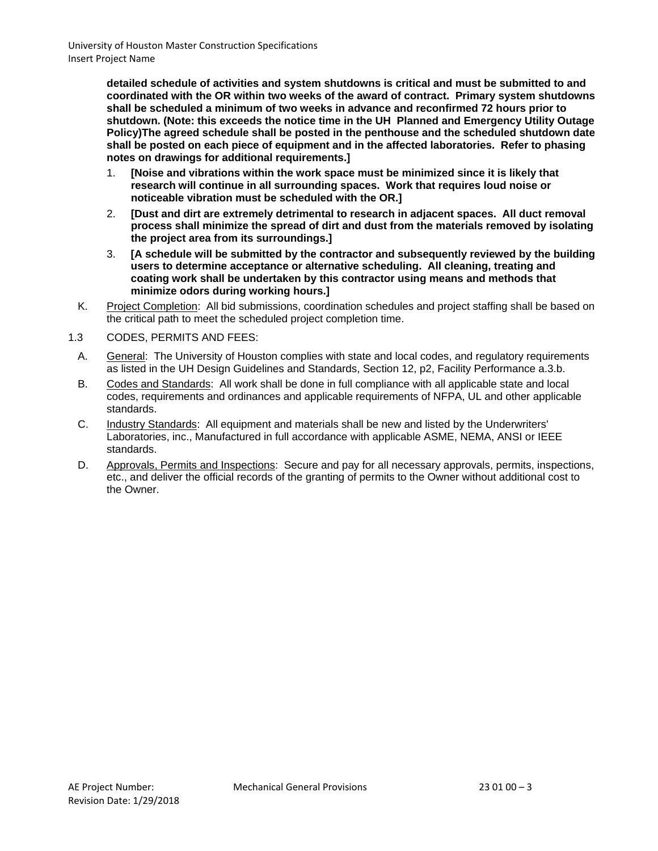**detailed schedule of activities and system shutdowns is critical and must be submitted to and coordinated with the OR within two weeks of the award of contract. Primary system shutdowns shall be scheduled a minimum of two weeks in advance and reconfirmed 72 hours prior to shutdown. (Note: this exceeds the notice time in the UH Planned and Emergency Utility Outage Policy)The agreed schedule shall be posted in the penthouse and the scheduled shutdown date shall be posted on each piece of equipment and in the affected laboratories. Refer to phasing notes on drawings for additional requirements.]**

- 1. **[Noise and vibrations within the work space must be minimized since it is likely that research will continue in all surrounding spaces. Work that requires loud noise or noticeable vibration must be scheduled with the OR.]**
- 2. **[Dust and dirt are extremely detrimental to research in adjacent spaces. All duct removal process shall minimize the spread of dirt and dust from the materials removed by isolating the project area from its surroundings.]**
- 3. **[A schedule will be submitted by the contractor and subsequently reviewed by the building users to determine acceptance or alternative scheduling. All cleaning, treating and coating work shall be undertaken by this contractor using means and methods that minimize odors during working hours.]**
- K. Project Completion: All bid submissions, coordination schedules and project staffing shall be based on the critical path to meet the scheduled project completion time.
- 1.3 CODES, PERMITS AND FEES:
	- A. General: The University of Houston complies with state and local codes, and regulatory requirements as listed in the UH Design Guidelines and Standards, Section 12, p2, Facility Performance a.3.b.
	- B. Codes and Standards: All work shall be done in full compliance with all applicable state and local codes, requirements and ordinances and applicable requirements of NFPA, UL and other applicable standards.
	- C. Industry Standards: All equipment and materials shall be new and listed by the Underwriters' Laboratories, inc., Manufactured in full accordance with applicable ASME, NEMA, ANSI or IEEE standards.
	- D. Approvals, Permits and Inspections: Secure and pay for all necessary approvals, permits, inspections, etc., and deliver the official records of the granting of permits to the Owner without additional cost to the Owner.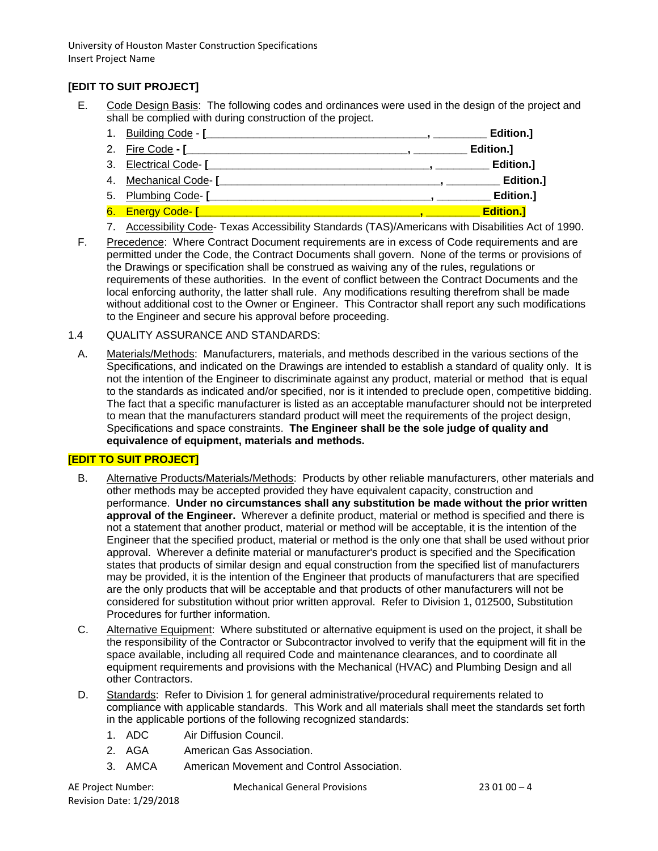# **[EDIT TO SUIT PROJECT]**

- E. Code Design Basis: The following codes and ordinances were used in the design of the project and shall be complied with during construction of the project.
	- 1. Building Code **[\_\_\_\_\_\_\_\_\_\_\_\_\_\_\_\_\_\_\_\_\_\_\_\_\_\_\_\_\_\_\_\_\_\_\_\_\_, \_\_\_\_\_\_\_\_\_ Edition.]**
	- 2. Fire Code **- [\_\_\_\_\_\_\_\_\_\_\_\_\_\_\_\_\_\_\_\_\_\_\_\_\_\_\_\_\_\_\_\_\_\_\_\_\_, \_\_\_\_\_\_\_\_\_ Edition.]**
	- 3. Electrical Code- **[\_\_\_\_\_\_\_\_\_\_\_\_\_\_\_\_\_\_\_\_\_\_\_\_\_\_\_\_\_\_\_\_\_\_\_\_\_, \_\_\_\_\_\_\_\_\_ Edition.]**
	- 4. Mechanical Code- **[\_\_\_\_\_\_\_\_\_\_\_\_\_\_\_\_\_\_\_\_\_\_\_\_\_\_\_\_\_\_\_\_\_\_\_\_\_, \_\_\_\_\_\_\_\_\_ Edition.]**
	- 5. Plumbing Code- **[\_\_\_\_\_\_\_\_\_\_\_\_\_\_\_\_\_\_\_\_\_\_\_\_\_\_\_\_\_\_\_\_\_\_\_\_\_, \_\_\_\_\_\_\_\_\_ Edition.]**
	- 6. Energy Code- **[\_\_\_\_\_\_\_\_\_\_\_\_\_\_\_\_\_\_\_\_\_\_\_\_\_\_\_\_\_\_\_\_\_\_\_\_\_, \_\_\_\_\_\_\_\_\_ Edition.]**
	- 7. Accessibility Code- Texas Accessibility Standards (TAS)/Americans with Disabilities Act of 1990.
- F. Precedence: Where Contract Document requirements are in excess of Code requirements and are permitted under the Code, the Contract Documents shall govern. None of the terms or provisions of the Drawings or specification shall be construed as waiving any of the rules, regulations or requirements of these authorities. In the event of conflict between the Contract Documents and the local enforcing authority, the latter shall rule. Any modifications resulting therefrom shall be made without additional cost to the Owner or Engineer. This Contractor shall report any such modifications to the Engineer and secure his approval before proceeding.
- 1.4 QUALITY ASSURANCE AND STANDARDS:
	- A. Materials/Methods: Manufacturers, materials, and methods described in the various sections of the Specifications, and indicated on the Drawings are intended to establish a standard of quality only. It is not the intention of the Engineer to discriminate against any product, material or method that is equal to the standards as indicated and/or specified, nor is it intended to preclude open, competitive bidding. The fact that a specific manufacturer is listed as an acceptable manufacturer should not be interpreted to mean that the manufacturers standard product will meet the requirements of the project design, Specifications and space constraints. **The Engineer shall be the sole judge of quality and equivalence of equipment, materials and methods.**

## **[EDIT TO SUIT PROJECT]**

- B. Alternative Products/Materials/Methods: Products by other reliable manufacturers, other materials and other methods may be accepted provided they have equivalent capacity, construction and performance. **Under no circumstances shall any substitution be made without the prior written approval of the Engineer.** Wherever a definite product, material or method is specified and there is not a statement that another product, material or method will be acceptable, it is the intention of the Engineer that the specified product, material or method is the only one that shall be used without prior approval. Wherever a definite material or manufacturer's product is specified and the Specification states that products of similar design and equal construction from the specified list of manufacturers may be provided, it is the intention of the Engineer that products of manufacturers that are specified are the only products that will be acceptable and that products of other manufacturers will not be considered for substitution without prior written approval. Refer to Division 1, 012500, Substitution Procedures for further information.
- C. Alternative Equipment: Where substituted or alternative equipment is used on the project, it shall be the responsibility of the Contractor or Subcontractor involved to verify that the equipment will fit in the space available, including all required Code and maintenance clearances, and to coordinate all equipment requirements and provisions with the Mechanical (HVAC) and Plumbing Design and all other Contractors.
- D. Standards: Refer to Division 1 for general administrative/procedural requirements related to compliance with applicable standards. This Work and all materials shall meet the standards set forth in the applicable portions of the following recognized standards:
	- 1. ADC Air Diffusion Council.
	- 2. AGA American Gas Association.
	- 3. AMCA American Movement and Control Association.

Revision Date: 1/29/2018

AE Project Number: Mechanical General Provisions 23 01 00 – 4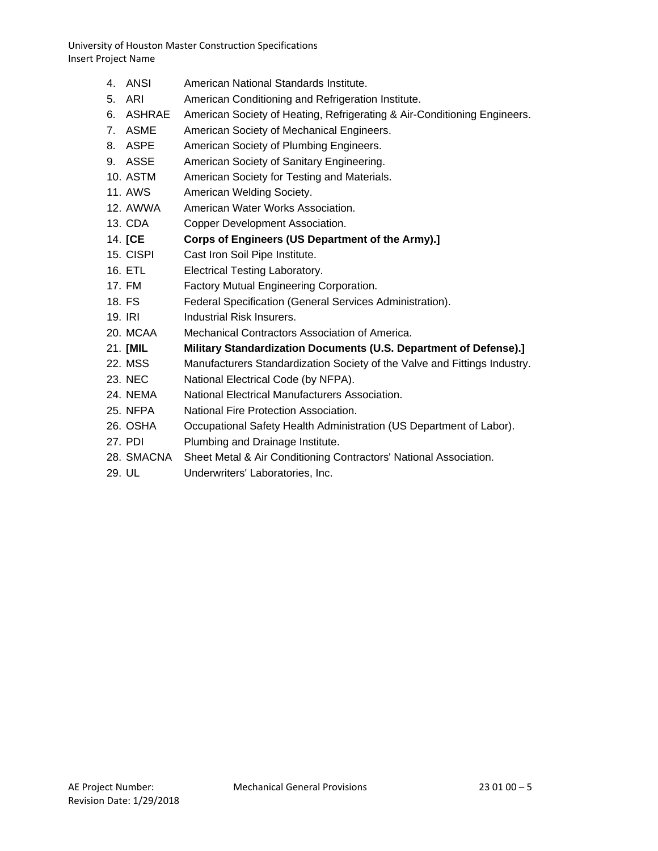- 4. ANSI American National Standards Institute.
- 5. ARI American Conditioning and Refrigeration Institute.
- 6. ASHRAE American Society of Heating, Refrigerating & Air-Conditioning Engineers.
- 7. ASME American Society of Mechanical Engineers.
- 8. ASPE American Society of Plumbing Engineers.
- 9. ASSE American Society of Sanitary Engineering.
- 10. ASTM American Society for Testing and Materials.
- 11. AWS American Welding Society.
- 12. AWWA American Water Works Association.
- 13. CDA Copper Development Association.
- 14. **[CE Corps of Engineers (US Department of the Army).]**
- 15. CISPI Cast Iron Soil Pipe Institute.
- 16. ETL Electrical Testing Laboratory.
- 17. FM Factory Mutual Engineering Corporation.
- 18. FS Federal Specification (General Services Administration).
- 19. IRI Industrial Risk Insurers.
- 20. MCAA Mechanical Contractors Association of America.
- 21. **[MIL Military Standardization Documents (U.S. Department of Defense).]**
- 22. MSS Manufacturers Standardization Society of the Valve and Fittings Industry.
- 23. NEC National Electrical Code (by NFPA).
- 24. NEMA National Electrical Manufacturers Association.
- 25. NFPA National Fire Protection Association.
- 26. OSHA Occupational Safety Health Administration (US Department of Labor).
- 27. PDI Plumbing and Drainage Institute.
- 28. SMACNA Sheet Metal & Air Conditioning Contractors' National Association.
- 29. UL Underwriters' Laboratories, Inc.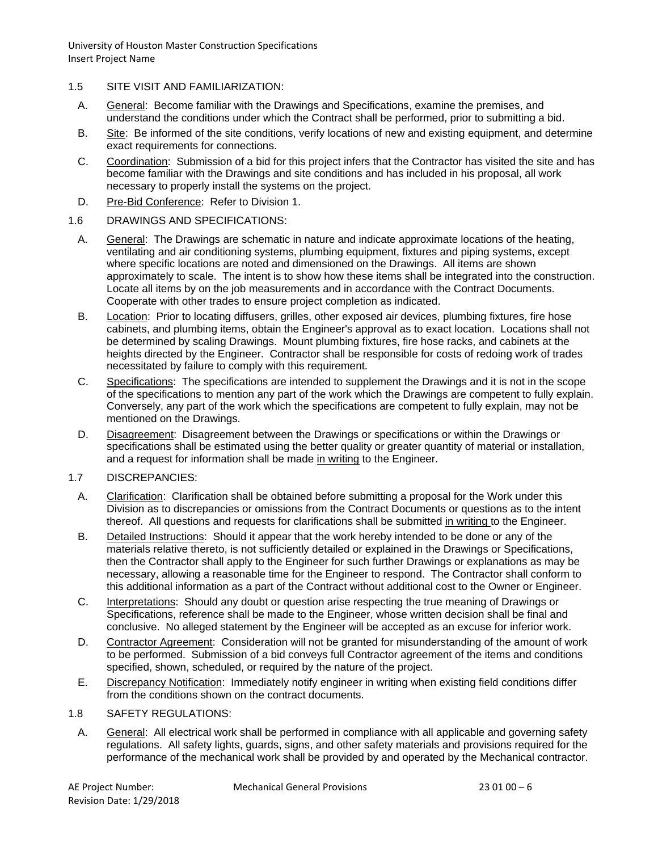- 1.5 SITE VISIT AND FAMILIARIZATION:
	- A. General: Become familiar with the Drawings and Specifications, examine the premises, and understand the conditions under which the Contract shall be performed, prior to submitting a bid.
	- B. Site: Be informed of the site conditions, verify locations of new and existing equipment, and determine exact requirements for connections.
	- C. Coordination: Submission of a bid for this project infers that the Contractor has visited the site and has become familiar with the Drawings and site conditions and has included in his proposal, all work necessary to properly install the systems on the project.
	- D. Pre-Bid Conference: Refer to Division 1.
- 1.6 DRAWINGS AND SPECIFICATIONS:
	- A. General: The Drawings are schematic in nature and indicate approximate locations of the heating, ventilating and air conditioning systems, plumbing equipment, fixtures and piping systems, except where specific locations are noted and dimensioned on the Drawings. All items are shown approximately to scale. The intent is to show how these items shall be integrated into the construction. Locate all items by on the job measurements and in accordance with the Contract Documents. Cooperate with other trades to ensure project completion as indicated.
	- B. Location: Prior to locating diffusers, grilles, other exposed air devices, plumbing fixtures, fire hose cabinets, and plumbing items, obtain the Engineer's approval as to exact location. Locations shall not be determined by scaling Drawings. Mount plumbing fixtures, fire hose racks, and cabinets at the heights directed by the Engineer. Contractor shall be responsible for costs of redoing work of trades necessitated by failure to comply with this requirement.
	- C. Specifications: The specifications are intended to supplement the Drawings and it is not in the scope of the specifications to mention any part of the work which the Drawings are competent to fully explain. Conversely, any part of the work which the specifications are competent to fully explain, may not be mentioned on the Drawings.
	- D. Disagreement: Disagreement between the Drawings or specifications or within the Drawings or specifications shall be estimated using the better quality or greater quantity of material or installation, and a request for information shall be made in writing to the Engineer.
- 1.7 DISCREPANCIES:
	- A. Clarification: Clarification shall be obtained before submitting a proposal for the Work under this Division as to discrepancies or omissions from the Contract Documents or questions as to the intent thereof. All questions and requests for clarifications shall be submitted in writing to the Engineer.
	- B. Detailed Instructions: Should it appear that the work hereby intended to be done or any of the materials relative thereto, is not sufficiently detailed or explained in the Drawings or Specifications, then the Contractor shall apply to the Engineer for such further Drawings or explanations as may be necessary, allowing a reasonable time for the Engineer to respond. The Contractor shall conform to this additional information as a part of the Contract without additional cost to the Owner or Engineer.
	- C. Interpretations: Should any doubt or question arise respecting the true meaning of Drawings or Specifications, reference shall be made to the Engineer, whose written decision shall be final and conclusive. No alleged statement by the Engineer will be accepted as an excuse for inferior work.
	- D. Contractor Agreement: Consideration will not be granted for misunderstanding of the amount of work to be performed. Submission of a bid conveys full Contractor agreement of the items and conditions specified, shown, scheduled, or required by the nature of the project.
	- E. Discrepancy Notification: Immediately notify engineer in writing when existing field conditions differ from the conditions shown on the contract documents.
- 1.8 SAFETY REGULATIONS:
	- A. General: All electrical work shall be performed in compliance with all applicable and governing safety regulations. All safety lights, guards, signs, and other safety materials and provisions required for the performance of the mechanical work shall be provided by and operated by the Mechanical contractor.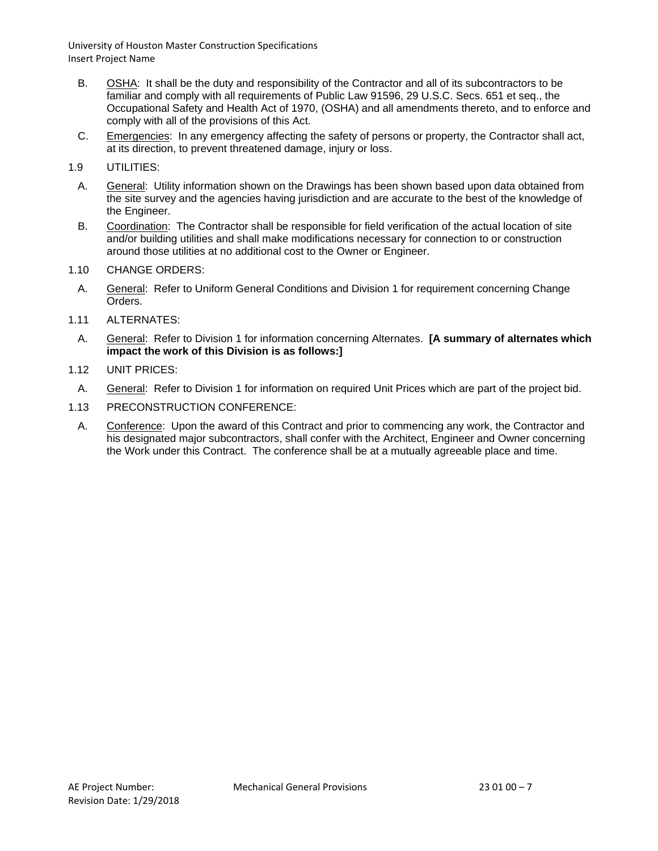- B. OSHA: It shall be the duty and responsibility of the Contractor and all of its subcontractors to be familiar and comply with all requirements of Public Law 91596, 29 U.S.C. Secs. 651 et seq., the Occupational Safety and Health Act of 1970, (OSHA) and all amendments thereto, and to enforce and comply with all of the provisions of this Act.
- C. Emergencies: In any emergency affecting the safety of persons or property, the Contractor shall act, at its direction, to prevent threatened damage, injury or loss.
- 1.9 UTILITIES:
	- A. General: Utility information shown on the Drawings has been shown based upon data obtained from the site survey and the agencies having jurisdiction and are accurate to the best of the knowledge of the Engineer.
	- B. Coordination: The Contractor shall be responsible for field verification of the actual location of site and/or building utilities and shall make modifications necessary for connection to or construction around those utilities at no additional cost to the Owner or Engineer.
- 1.10 CHANGE ORDERS:
	- A. General: Refer to Uniform General Conditions and Division 1 for requirement concerning Change Orders.
- 1.11 ALTERNATES:
- A. General: Refer to Division 1 for information concerning Alternates. **[A summary of alternates which impact the work of this Division is as follows:]**
- 1.12 UNIT PRICES:
- A. General: Refer to Division 1 for information on required Unit Prices which are part of the project bid.
- 1.13 PRECONSTRUCTION CONFERENCE:
	- A. Conference: Upon the award of this Contract and prior to commencing any work, the Contractor and his designated major subcontractors, shall confer with the Architect, Engineer and Owner concerning the Work under this Contract. The conference shall be at a mutually agreeable place and time.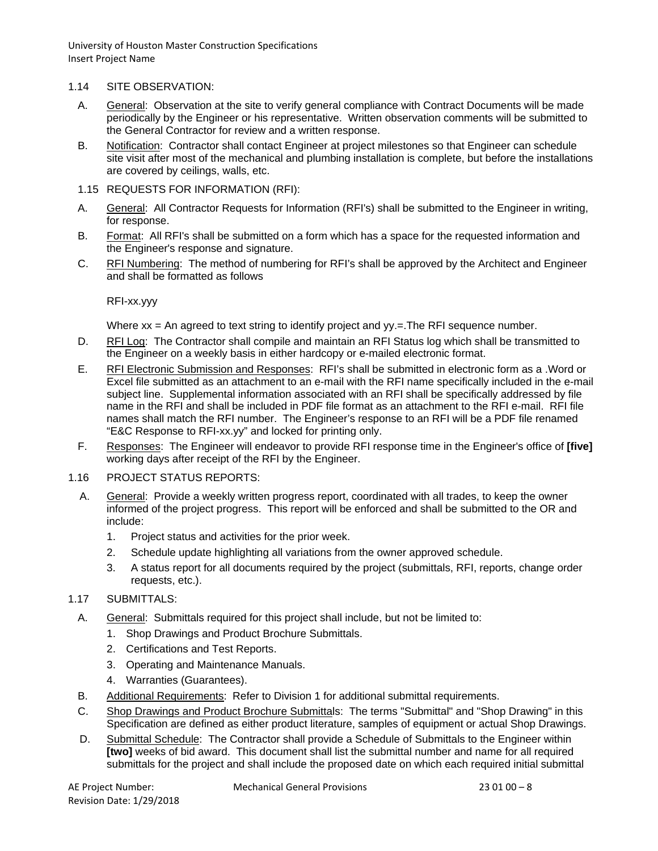### 1.14 SITE OBSERVATION:

- A. General: Observation at the site to verify general compliance with Contract Documents will be made periodically by the Engineer or his representative. Written observation comments will be submitted to the General Contractor for review and a written response.
- B. Notification: Contractor shall contact Engineer at project milestones so that Engineer can schedule site visit after most of the mechanical and plumbing installation is complete, but before the installations are covered by ceilings, walls, etc.
- 1.15 REQUESTS FOR INFORMATION (RFI):
- A. General: All Contractor Requests for Information (RFI's) shall be submitted to the Engineer in writing, for response.
- B. Format: All RFI's shall be submitted on a form which has a space for the requested information and the Engineer's response and signature.
- C. RFI Numbering: The method of numbering for RFI's shall be approved by the Architect and Engineer and shall be formatted as follows

RFI-xx.yyy

Where  $xx = An$  agreed to text string to identify project and  $yy = The RFI$  sequence number.

- D. RFI Log: The Contractor shall compile and maintain an RFI Status log which shall be transmitted to the Engineer on a weekly basis in either hardcopy or e-mailed electronic format.
- E. RFI Electronic Submission and Responses: RFI's shall be submitted in electronic form as a .Word or Excel file submitted as an attachment to an e-mail with the RFI name specifically included in the e-mail subject line. Supplemental information associated with an RFI shall be specifically addressed by file name in the RFI and shall be included in PDF file format as an attachment to the RFI e-mail. RFI file names shall match the RFI number. The Engineer's response to an RFI will be a PDF file renamed "E&C Response to RFI-xx.yy" and locked for printing only.
- F. Responses: The Engineer will endeavor to provide RFI response time in the Engineer's office of **[five]** working days after receipt of the RFI by the Engineer.

#### 1.16 PROJECT STATUS REPORTS:

- A. General: Provide a weekly written progress report, coordinated with all trades, to keep the owner informed of the project progress. This report will be enforced and shall be submitted to the OR and include:
	- 1. Project status and activities for the prior week.
	- 2. Schedule update highlighting all variations from the owner approved schedule.
	- 3. A status report for all documents required by the project (submittals, RFI, reports, change order requests, etc.).

## 1.17 SUBMITTALS:

- A. General: Submittals required for this project shall include, but not be limited to:
	- 1. Shop Drawings and Product Brochure Submittals.
	- 2. Certifications and Test Reports.
	- 3. Operating and Maintenance Manuals.
	- 4. Warranties (Guarantees).
- B. Additional Requirements: Refer to Division 1 for additional submittal requirements.
- C. Shop Drawings and Product Brochure Submittals: The terms "Submittal" and "Shop Drawing" in this Specification are defined as either product literature, samples of equipment or actual Shop Drawings.
- D. Submittal Schedule: The Contractor shall provide a Schedule of Submittals to the Engineer within **[two]** weeks of bid award. This document shall list the submittal number and name for all required submittals for the project and shall include the proposed date on which each required initial submittal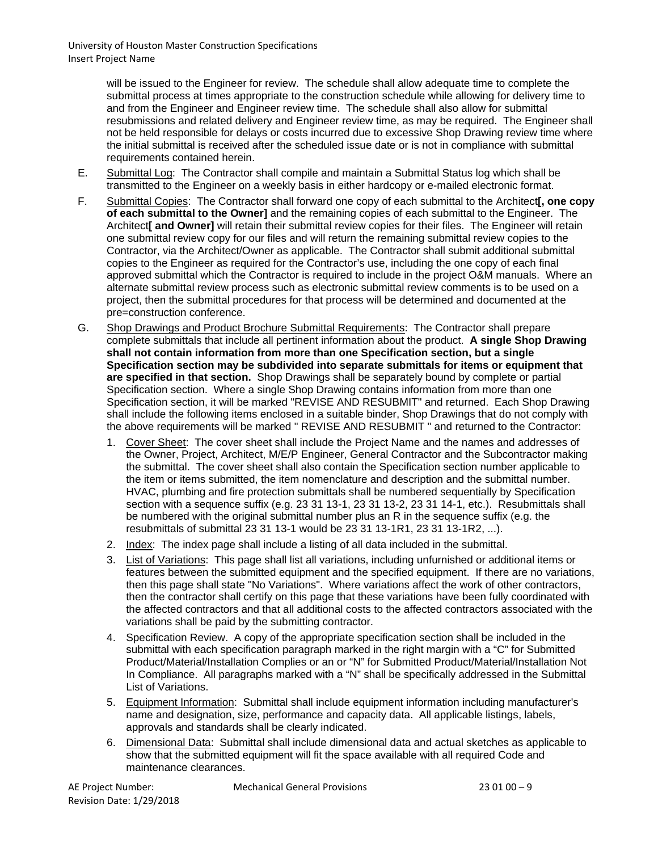> will be issued to the Engineer for review. The schedule shall allow adequate time to complete the submittal process at times appropriate to the construction schedule while allowing for delivery time to and from the Engineer and Engineer review time. The schedule shall also allow for submittal resubmissions and related delivery and Engineer review time, as may be required. The Engineer shall not be held responsible for delays or costs incurred due to excessive Shop Drawing review time where the initial submittal is received after the scheduled issue date or is not in compliance with submittal requirements contained herein.

- E. Submittal Log: The Contractor shall compile and maintain a Submittal Status log which shall be transmitted to the Engineer on a weekly basis in either hardcopy or e-mailed electronic format.
- F. Submittal Copies: The Contractor shall forward one copy of each submittal to the Architect**[, one copy of each submittal to the Owner]** and the remaining copies of each submittal to the Engineer. The Architect**[ and Owner]** will retain their submittal review copies for their files. The Engineer will retain one submittal review copy for our files and will return the remaining submittal review copies to the Contractor, via the Architect/Owner as applicable. The Contractor shall submit additional submittal copies to the Engineer as required for the Contractor's use, including the one copy of each final approved submittal which the Contractor is required to include in the project O&M manuals. Where an alternate submittal review process such as electronic submittal review comments is to be used on a project, then the submittal procedures for that process will be determined and documented at the pre=construction conference.
- G. Shop Drawings and Product Brochure Submittal Requirements: The Contractor shall prepare complete submittals that include all pertinent information about the product. **A single Shop Drawing shall not contain information from more than one Specification section, but a single Specification section may be subdivided into separate submittals for items or equipment that are specified in that section.** Shop Drawings shall be separately bound by complete or partial Specification section. Where a single Shop Drawing contains information from more than one Specification section, it will be marked "REVISE AND RESUBMIT" and returned. Each Shop Drawing shall include the following items enclosed in a suitable binder, Shop Drawings that do not comply with the above requirements will be marked " REVISE AND RESUBMIT " and returned to the Contractor:
	- 1. Cover Sheet: The cover sheet shall include the Project Name and the names and addresses of the Owner, Project, Architect, M/E/P Engineer, General Contractor and the Subcontractor making the submittal. The cover sheet shall also contain the Specification section number applicable to the item or items submitted, the item nomenclature and description and the submittal number. HVAC, plumbing and fire protection submittals shall be numbered sequentially by Specification section with a sequence suffix (e.g. 23 31 13-1, 23 31 13-2, 23 31 14-1, etc.). Resubmittals shall be numbered with the original submittal number plus an R in the sequence suffix (e.g. the resubmittals of submittal 23 31 13-1 would be 23 31 13-1R1, 23 31 13-1R2, ...).
	- 2. Index: The index page shall include a listing of all data included in the submittal.
	- 3. List of Variations: This page shall list all variations, including unfurnished or additional items or features between the submitted equipment and the specified equipment. If there are no variations, then this page shall state "No Variations". Where variations affect the work of other contractors, then the contractor shall certify on this page that these variations have been fully coordinated with the affected contractors and that all additional costs to the affected contractors associated with the variations shall be paid by the submitting contractor.
	- 4. Specification Review. A copy of the appropriate specification section shall be included in the submittal with each specification paragraph marked in the right margin with a "C" for Submitted Product/Material/Installation Complies or an or "N" for Submitted Product/Material/Installation Not In Compliance. All paragraphs marked with a "N" shall be specifically addressed in the Submittal List of Variations.
	- 5. Equipment Information: Submittal shall include equipment information including manufacturer's name and designation, size, performance and capacity data. All applicable listings, labels, approvals and standards shall be clearly indicated.
	- 6. Dimensional Data: Submittal shall include dimensional data and actual sketches as applicable to show that the submitted equipment will fit the space available with all required Code and maintenance clearances.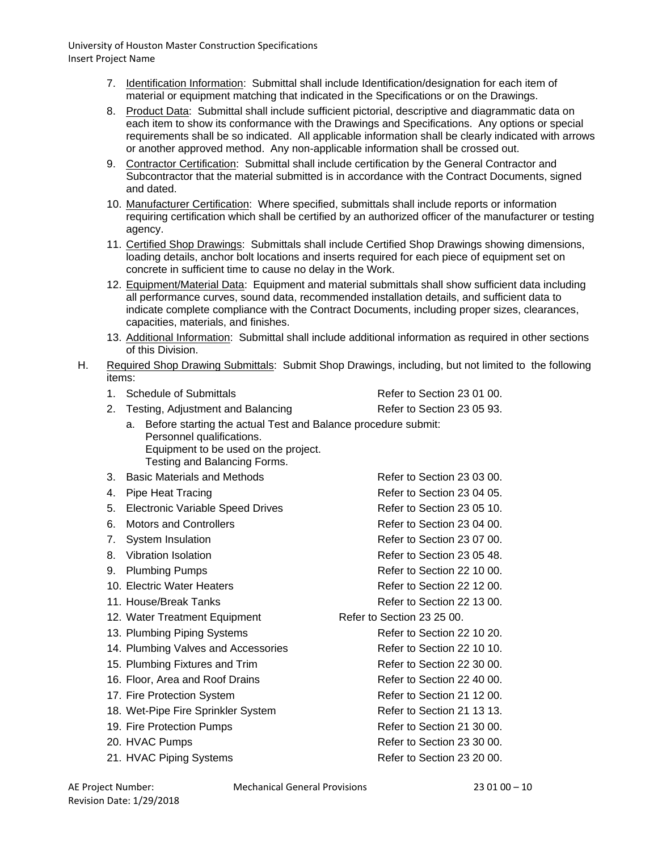- 7. Identification Information: Submittal shall include Identification/designation for each item of material or equipment matching that indicated in the Specifications or on the Drawings.
- 8. Product Data: Submittal shall include sufficient pictorial, descriptive and diagrammatic data on each item to show its conformance with the Drawings and Specifications. Any options or special requirements shall be so indicated. All applicable information shall be clearly indicated with arrows or another approved method. Any non-applicable information shall be crossed out.
- 9. Contractor Certification: Submittal shall include certification by the General Contractor and Subcontractor that the material submitted is in accordance with the Contract Documents, signed and dated.
- 10. Manufacturer Certification: Where specified, submittals shall include reports or information requiring certification which shall be certified by an authorized officer of the manufacturer or testing agency.
- 11. Certified Shop Drawings: Submittals shall include Certified Shop Drawings showing dimensions, loading details, anchor bolt locations and inserts required for each piece of equipment set on concrete in sufficient time to cause no delay in the Work.
- 12. Equipment/Material Data: Equipment and material submittals shall show sufficient data including all performance curves, sound data, recommended installation details, and sufficient data to indicate complete compliance with the Contract Documents, including proper sizes, clearances, capacities, materials, and finishes.
- 13. Additional Information: Submittal shall include additional information as required in other sections of this Division.
- H. Required Shop Drawing Submittals: Submit Shop Drawings, including, but not limited to the following items:

| Schedule of Submittals<br>1.                  |                                                                                                                                                                    | Refer to Section 23 01 00. |
|-----------------------------------------------|--------------------------------------------------------------------------------------------------------------------------------------------------------------------|----------------------------|
| 2.<br>Testing, Adjustment and Balancing       |                                                                                                                                                                    | Refer to Section 23 05 93. |
| a.                                            | Before starting the actual Test and Balance procedure submit:<br>Personnel qualifications.<br>Equipment to be used on the project.<br>Testing and Balancing Forms. |                            |
| <b>Basic Materials and Methods</b><br>3.      |                                                                                                                                                                    | Refer to Section 23 03 00. |
| <b>Pipe Heat Tracing</b><br>4.                |                                                                                                                                                                    | Refer to Section 23 04 05. |
| <b>Electronic Variable Speed Drives</b><br>5. |                                                                                                                                                                    | Refer to Section 23 05 10. |
| <b>Motors and Controllers</b><br>6.           |                                                                                                                                                                    | Refer to Section 23 04 00. |
| 7 <sub>1</sub><br>System Insulation           |                                                                                                                                                                    | Refer to Section 23 07 00. |
| <b>Vibration Isolation</b><br>8.              |                                                                                                                                                                    | Refer to Section 23 05 48. |
| <b>Plumbing Pumps</b><br>9.                   |                                                                                                                                                                    | Refer to Section 22 10 00. |
| 10. Electric Water Heaters                    |                                                                                                                                                                    | Refer to Section 22 12 00. |
| 11. House/Break Tanks                         |                                                                                                                                                                    | Refer to Section 22 13 00. |
| 12. Water Treatment Equipment                 |                                                                                                                                                                    | Refer to Section 23 25 00. |
| 13. Plumbing Piping Systems                   |                                                                                                                                                                    | Refer to Section 22 10 20. |
| 14. Plumbing Valves and Accessories           |                                                                                                                                                                    | Refer to Section 22 10 10. |
| 15. Plumbing Fixtures and Trim                |                                                                                                                                                                    | Refer to Section 22 30 00. |
| 16. Floor, Area and Roof Drains               |                                                                                                                                                                    | Refer to Section 22 40 00. |
| 17. Fire Protection System                    |                                                                                                                                                                    | Refer to Section 21 12 00. |
| 18. Wet-Pipe Fire Sprinkler System            |                                                                                                                                                                    | Refer to Section 21 13 13. |
| 19. Fire Protection Pumps                     |                                                                                                                                                                    | Refer to Section 21 30 00. |
| 20. HVAC Pumps                                |                                                                                                                                                                    | Refer to Section 23 30 00. |
| 21. HVAC Piping Systems                       |                                                                                                                                                                    | Refer to Section 23 20 00. |

AE Project Number: Mechanical General Provisions 23 01 00 – 10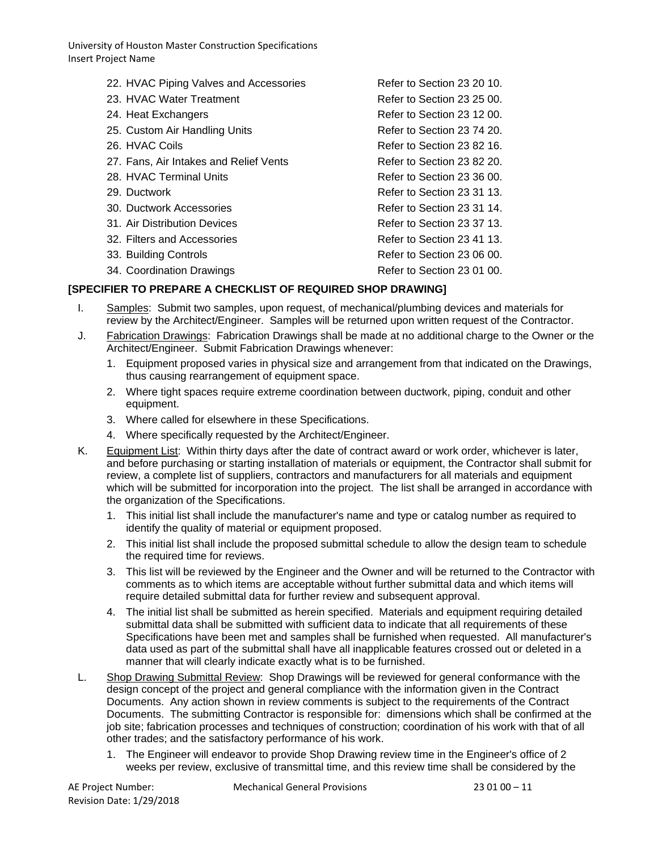| 22. HVAC Piping Valves and Accessories | Refer to Section 23 20 10. |
|----------------------------------------|----------------------------|
| 23. HVAC Water Treatment               | Refer to Section 23 25 00. |
| 24. Heat Exchangers                    | Refer to Section 23 12 00. |
| 25. Custom Air Handling Units          | Refer to Section 23 74 20. |
| 26. HVAC Coils                         | Refer to Section 23 82 16. |
| 27. Fans, Air Intakes and Relief Vents | Refer to Section 23 82 20. |
| 28. HVAC Terminal Units                | Refer to Section 23 36 00. |
| 29. Ductwork                           | Refer to Section 23 31 13. |
| 30. Ductwork Accessories               | Refer to Section 23 31 14. |
| 31. Air Distribution Devices           | Refer to Section 23 37 13. |
| 32. Filters and Accessories            | Refer to Section 23 41 13. |
| 33. Building Controls                  | Refer to Section 23 06 00. |
| 34. Coordination Drawings              | Refer to Section 23 01 00. |
|                                        |                            |

# **[SPECIFIER TO PREPARE A CHECKLIST OF REQUIRED SHOP DRAWING]**

- I. Samples: Submit two samples, upon request, of mechanical/plumbing devices and materials for review by the Architect/Engineer. Samples will be returned upon written request of the Contractor.
- J. Fabrication Drawings: Fabrication Drawings shall be made at no additional charge to the Owner or the Architect/Engineer. Submit Fabrication Drawings whenever:
	- 1. Equipment proposed varies in physical size and arrangement from that indicated on the Drawings, thus causing rearrangement of equipment space.
	- 2. Where tight spaces require extreme coordination between ductwork, piping, conduit and other equipment.
	- 3. Where called for elsewhere in these Specifications.
	- 4. Where specifically requested by the Architect/Engineer.
- K. Equipment List: Within thirty days after the date of contract award or work order, whichever is later, and before purchasing or starting installation of materials or equipment, the Contractor shall submit for review, a complete list of suppliers, contractors and manufacturers for all materials and equipment which will be submitted for incorporation into the project. The list shall be arranged in accordance with the organization of the Specifications.
	- 1. This initial list shall include the manufacturer's name and type or catalog number as required to identify the quality of material or equipment proposed.
	- 2. This initial list shall include the proposed submittal schedule to allow the design team to schedule the required time for reviews.
	- 3. This list will be reviewed by the Engineer and the Owner and will be returned to the Contractor with comments as to which items are acceptable without further submittal data and which items will require detailed submittal data for further review and subsequent approval.
	- 4. The initial list shall be submitted as herein specified. Materials and equipment requiring detailed submittal data shall be submitted with sufficient data to indicate that all requirements of these Specifications have been met and samples shall be furnished when requested. All manufacturer's data used as part of the submittal shall have all inapplicable features crossed out or deleted in a manner that will clearly indicate exactly what is to be furnished.
- L. Shop Drawing Submittal Review: Shop Drawings will be reviewed for general conformance with the design concept of the project and general compliance with the information given in the Contract Documents. Any action shown in review comments is subject to the requirements of the Contract Documents. The submitting Contractor is responsible for: dimensions which shall be confirmed at the job site; fabrication processes and techniques of construction; coordination of his work with that of all other trades; and the satisfactory performance of his work.
	- 1. The Engineer will endeavor to provide Shop Drawing review time in the Engineer's office of 2 weeks per review, exclusive of transmittal time, and this review time shall be considered by the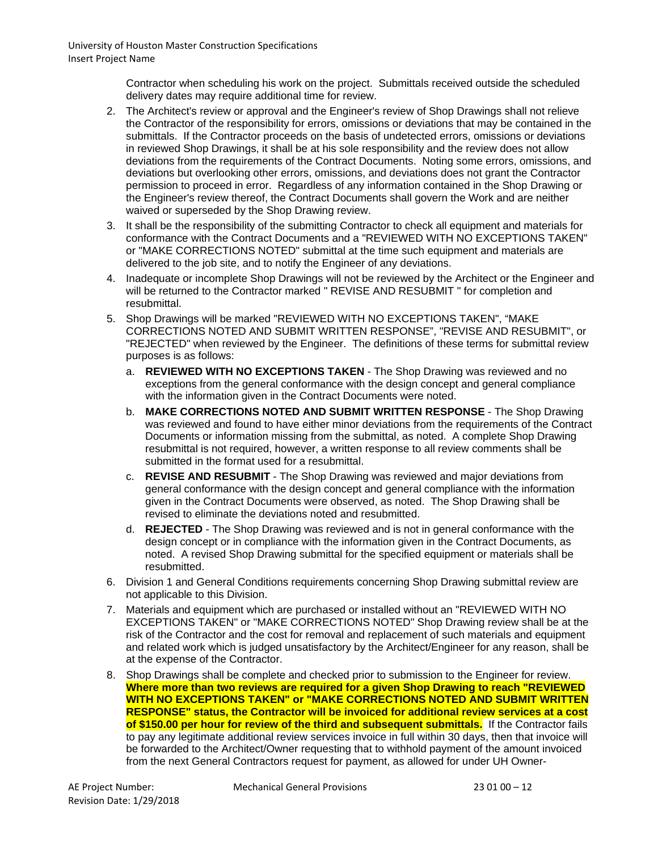> Contractor when scheduling his work on the project. Submittals received outside the scheduled delivery dates may require additional time for review.

- 2. The Architect's review or approval and the Engineer's review of Shop Drawings shall not relieve the Contractor of the responsibility for errors, omissions or deviations that may be contained in the submittals. If the Contractor proceeds on the basis of undetected errors, omissions or deviations in reviewed Shop Drawings, it shall be at his sole responsibility and the review does not allow deviations from the requirements of the Contract Documents. Noting some errors, omissions, and deviations but overlooking other errors, omissions, and deviations does not grant the Contractor permission to proceed in error. Regardless of any information contained in the Shop Drawing or the Engineer's review thereof, the Contract Documents shall govern the Work and are neither waived or superseded by the Shop Drawing review.
- 3. It shall be the responsibility of the submitting Contractor to check all equipment and materials for conformance with the Contract Documents and a "REVIEWED WITH NO EXCEPTIONS TAKEN" or "MAKE CORRECTIONS NOTED" submittal at the time such equipment and materials are delivered to the job site, and to notify the Engineer of any deviations.
- 4. Inadequate or incomplete Shop Drawings will not be reviewed by the Architect or the Engineer and will be returned to the Contractor marked " REVISE AND RESUBMIT " for completion and resubmittal.
- 5. Shop Drawings will be marked "REVIEWED WITH NO EXCEPTIONS TAKEN", "MAKE CORRECTIONS NOTED AND SUBMIT WRITTEN RESPONSE", "REVISE AND RESUBMIT", or "REJECTED" when reviewed by the Engineer. The definitions of these terms for submittal review purposes is as follows:
	- a. **REVIEWED WITH NO EXCEPTIONS TAKEN** The Shop Drawing was reviewed and no exceptions from the general conformance with the design concept and general compliance with the information given in the Contract Documents were noted.
	- b. **MAKE CORRECTIONS NOTED AND SUBMIT WRITTEN RESPONSE** The Shop Drawing was reviewed and found to have either minor deviations from the requirements of the Contract Documents or information missing from the submittal, as noted. A complete Shop Drawing resubmittal is not required, however, a written response to all review comments shall be submitted in the format used for a resubmittal.
	- c. **REVISE AND RESUBMIT** The Shop Drawing was reviewed and major deviations from general conformance with the design concept and general compliance with the information given in the Contract Documents were observed, as noted. The Shop Drawing shall be revised to eliminate the deviations noted and resubmitted.
	- d. **REJECTED** The Shop Drawing was reviewed and is not in general conformance with the design concept or in compliance with the information given in the Contract Documents, as noted. A revised Shop Drawing submittal for the specified equipment or materials shall be resubmitted.
- 6. Division 1 and General Conditions requirements concerning Shop Drawing submittal review are not applicable to this Division.
- 7. Materials and equipment which are purchased or installed without an "REVIEWED WITH NO EXCEPTIONS TAKEN" or "MAKE CORRECTIONS NOTED" Shop Drawing review shall be at the risk of the Contractor and the cost for removal and replacement of such materials and equipment and related work which is judged unsatisfactory by the Architect/Engineer for any reason, shall be at the expense of the Contractor.
- 8. Shop Drawings shall be complete and checked prior to submission to the Engineer for review. **Where more than two reviews are required for a given Shop Drawing to reach "REVIEWED WITH NO EXCEPTIONS TAKEN" or "MAKE CORRECTIONS NOTED AND SUBMIT WRITTEN RESPONSE" status, the Contractor will be invoiced for additional review services at a cost of \$150.00 per hour for review of the third and subsequent submittals.** If the Contractor fails to pay any legitimate additional review services invoice in full within 30 days, then that invoice will be forwarded to the Architect/Owner requesting that to withhold payment of the amount invoiced from the next General Contractors request for payment, as allowed for under UH Owner-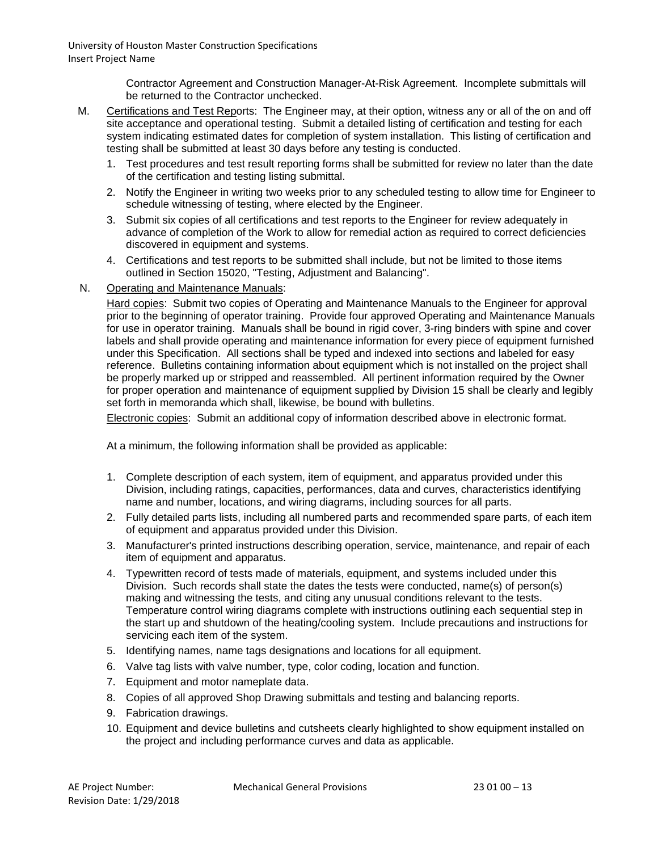> Contractor Agreement and Construction Manager-At-Risk Agreement. Incomplete submittals will be returned to the Contractor unchecked.

- M. Certifications and Test Reports: The Engineer may, at their option, witness any or all of the on and off site acceptance and operational testing. Submit a detailed listing of certification and testing for each system indicating estimated dates for completion of system installation. This listing of certification and testing shall be submitted at least 30 days before any testing is conducted.
	- 1. Test procedures and test result reporting forms shall be submitted for review no later than the date of the certification and testing listing submittal.
	- 2. Notify the Engineer in writing two weeks prior to any scheduled testing to allow time for Engineer to schedule witnessing of testing, where elected by the Engineer.
	- 3. Submit six copies of all certifications and test reports to the Engineer for review adequately in advance of completion of the Work to allow for remedial action as required to correct deficiencies discovered in equipment and systems.
	- 4. Certifications and test reports to be submitted shall include, but not be limited to those items outlined in Section 15020, "Testing, Adjustment and Balancing".
- N. Operating and Maintenance Manuals:

Hard copies: Submit two copies of Operating and Maintenance Manuals to the Engineer for approval prior to the beginning of operator training. Provide four approved Operating and Maintenance Manuals for use in operator training. Manuals shall be bound in rigid cover, 3-ring binders with spine and cover labels and shall provide operating and maintenance information for every piece of equipment furnished under this Specification. All sections shall be typed and indexed into sections and labeled for easy reference. Bulletins containing information about equipment which is not installed on the project shall be properly marked up or stripped and reassembled. All pertinent information required by the Owner for proper operation and maintenance of equipment supplied by Division 15 shall be clearly and legibly set forth in memoranda which shall, likewise, be bound with bulletins.

Electronic copies: Submit an additional copy of information described above in electronic format.

At a minimum, the following information shall be provided as applicable:

- 1. Complete description of each system, item of equipment, and apparatus provided under this Division, including ratings, capacities, performances, data and curves, characteristics identifying name and number, locations, and wiring diagrams, including sources for all parts.
- 2. Fully detailed parts lists, including all numbered parts and recommended spare parts, of each item of equipment and apparatus provided under this Division.
- 3. Manufacturer's printed instructions describing operation, service, maintenance, and repair of each item of equipment and apparatus.
- 4. Typewritten record of tests made of materials, equipment, and systems included under this Division. Such records shall state the dates the tests were conducted, name(s) of person(s) making and witnessing the tests, and citing any unusual conditions relevant to the tests. Temperature control wiring diagrams complete with instructions outlining each sequential step in the start up and shutdown of the heating/cooling system. Include precautions and instructions for servicing each item of the system.
- 5. Identifying names, name tags designations and locations for all equipment.
- 6. Valve tag lists with valve number, type, color coding, location and function.
- 7. Equipment and motor nameplate data.
- 8. Copies of all approved Shop Drawing submittals and testing and balancing reports.
- 9. Fabrication drawings.
- 10. Equipment and device bulletins and cutsheets clearly highlighted to show equipment installed on the project and including performance curves and data as applicable.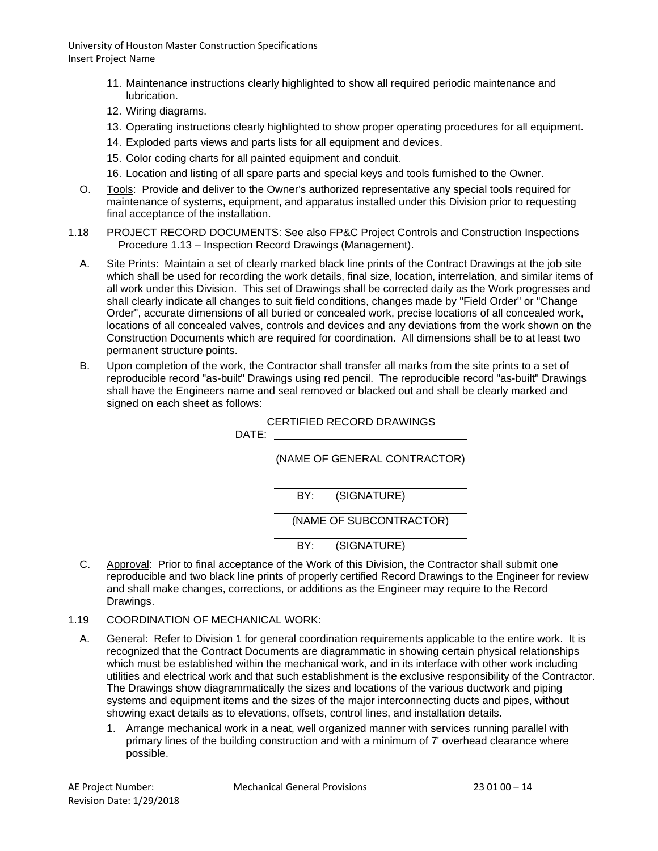- 11. Maintenance instructions clearly highlighted to show all required periodic maintenance and lubrication.
- 12. Wiring diagrams.
- 13. Operating instructions clearly highlighted to show proper operating procedures for all equipment.
- 14. Exploded parts views and parts lists for all equipment and devices.
- 15. Color coding charts for all painted equipment and conduit.
- 16. Location and listing of all spare parts and special keys and tools furnished to the Owner.
- O. Tools: Provide and deliver to the Owner's authorized representative any special tools required for maintenance of systems, equipment, and apparatus installed under this Division prior to requesting final acceptance of the installation.
- 1.18 PROJECT RECORD DOCUMENTS: See also FP&C Project Controls and Construction Inspections Procedure 1.13 – Inspection Record Drawings (Management).
	- A. Site Prints: Maintain a set of clearly marked black line prints of the Contract Drawings at the job site which shall be used for recording the work details, final size, location, interrelation, and similar items of all work under this Division. This set of Drawings shall be corrected daily as the Work progresses and shall clearly indicate all changes to suit field conditions, changes made by "Field Order" or "Change Order", accurate dimensions of all buried or concealed work, precise locations of all concealed work, locations of all concealed valves, controls and devices and any deviations from the work shown on the Construction Documents which are required for coordination. All dimensions shall be to at least two permanent structure points.
	- B. Upon completion of the work, the Contractor shall transfer all marks from the site prints to a set of reproducible record "as-built" Drawings using red pencil. The reproducible record "as-built" Drawings shall have the Engineers name and seal removed or blacked out and shall be clearly marked and signed on each sheet as follows:

## CERTIFIED RECORD DRAWINGS

DATE:

(NAME OF GENERAL CONTRACTOR)

BY: (SIGNATURE)

(NAME OF SUBCONTRACTOR)

BY: (SIGNATURE)

- C. Approval: Prior to final acceptance of the Work of this Division, the Contractor shall submit one reproducible and two black line prints of properly certified Record Drawings to the Engineer for review and shall make changes, corrections, or additions as the Engineer may require to the Record Drawings.
- 1.19 COORDINATION OF MECHANICAL WORK:
	- A. General: Refer to Division 1 for general coordination requirements applicable to the entire work. It is recognized that the Contract Documents are diagrammatic in showing certain physical relationships which must be established within the mechanical work, and in its interface with other work including utilities and electrical work and that such establishment is the exclusive responsibility of the Contractor. The Drawings show diagrammatically the sizes and locations of the various ductwork and piping systems and equipment items and the sizes of the major interconnecting ducts and pipes, without showing exact details as to elevations, offsets, control lines, and installation details.
		- 1. Arrange mechanical work in a neat, well organized manner with services running parallel with primary lines of the building construction and with a minimum of 7' overhead clearance where possible.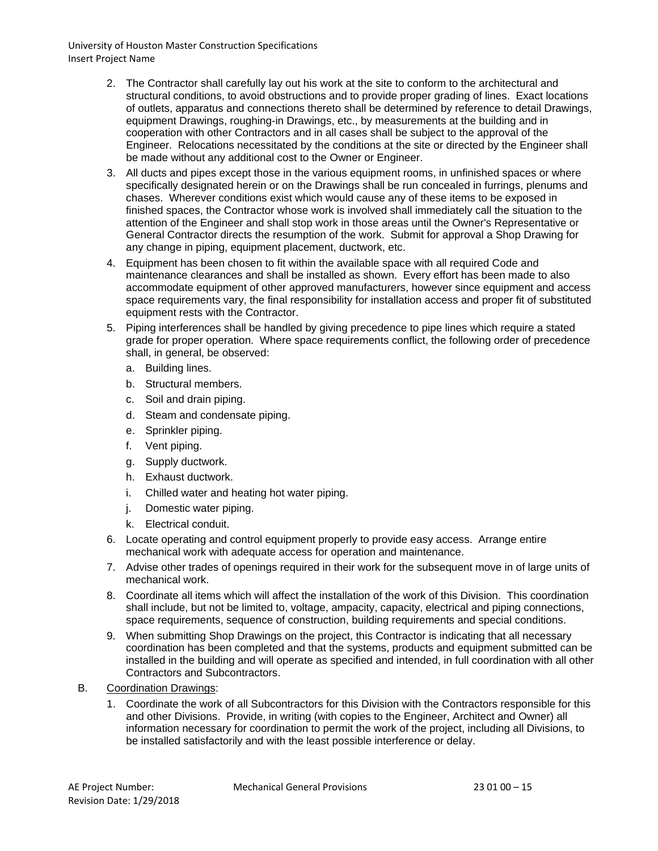- 2. The Contractor shall carefully lay out his work at the site to conform to the architectural and structural conditions, to avoid obstructions and to provide proper grading of lines. Exact locations of outlets, apparatus and connections thereto shall be determined by reference to detail Drawings, equipment Drawings, roughing-in Drawings, etc., by measurements at the building and in cooperation with other Contractors and in all cases shall be subject to the approval of the Engineer. Relocations necessitated by the conditions at the site or directed by the Engineer shall be made without any additional cost to the Owner or Engineer.
- 3. All ducts and pipes except those in the various equipment rooms, in unfinished spaces or where specifically designated herein or on the Drawings shall be run concealed in furrings, plenums and chases. Wherever conditions exist which would cause any of these items to be exposed in finished spaces, the Contractor whose work is involved shall immediately call the situation to the attention of the Engineer and shall stop work in those areas until the Owner's Representative or General Contractor directs the resumption of the work. Submit for approval a Shop Drawing for any change in piping, equipment placement, ductwork, etc.
- 4. Equipment has been chosen to fit within the available space with all required Code and maintenance clearances and shall be installed as shown. Every effort has been made to also accommodate equipment of other approved manufacturers, however since equipment and access space requirements vary, the final responsibility for installation access and proper fit of substituted equipment rests with the Contractor.
- 5. Piping interferences shall be handled by giving precedence to pipe lines which require a stated grade for proper operation. Where space requirements conflict, the following order of precedence shall, in general, be observed:
	- a. Building lines.
	- b. Structural members.
	- c. Soil and drain piping.
	- d. Steam and condensate piping.
	- e. Sprinkler piping.
	- f. Vent piping.
	- g. Supply ductwork.
	- h. Exhaust ductwork.
	- i. Chilled water and heating hot water piping.
	- j. Domestic water piping.
	- k. Electrical conduit.
- 6. Locate operating and control equipment properly to provide easy access. Arrange entire mechanical work with adequate access for operation and maintenance.
- 7. Advise other trades of openings required in their work for the subsequent move in of large units of mechanical work.
- 8. Coordinate all items which will affect the installation of the work of this Division. This coordination shall include, but not be limited to, voltage, ampacity, capacity, electrical and piping connections, space requirements, sequence of construction, building requirements and special conditions.
- 9. When submitting Shop Drawings on the project, this Contractor is indicating that all necessary coordination has been completed and that the systems, products and equipment submitted can be installed in the building and will operate as specified and intended, in full coordination with all other Contractors and Subcontractors.
- B. Coordination Drawings:
	- 1. Coordinate the work of all Subcontractors for this Division with the Contractors responsible for this and other Divisions. Provide, in writing (with copies to the Engineer, Architect and Owner) all information necessary for coordination to permit the work of the project, including all Divisions, to be installed satisfactorily and with the least possible interference or delay.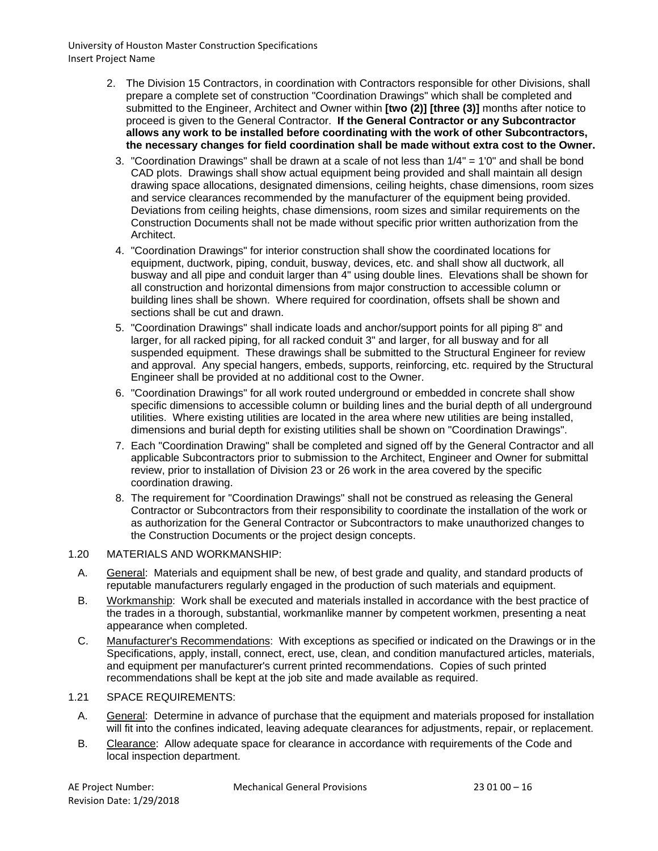- 2. The Division 15 Contractors, in coordination with Contractors responsible for other Divisions, shall prepare a complete set of construction "Coordination Drawings" which shall be completed and submitted to the Engineer, Architect and Owner within **[two (2)] [three (3)]** months after notice to proceed is given to the General Contractor. **If the General Contractor or any Subcontractor allows any work to be installed before coordinating with the work of other Subcontractors, the necessary changes for field coordination shall be made without extra cost to the Owner.**
	- 3. "Coordination Drawings" shall be drawn at a scale of not less than 1/4" = 1'0" and shall be bond CAD plots. Drawings shall show actual equipment being provided and shall maintain all design drawing space allocations, designated dimensions, ceiling heights, chase dimensions, room sizes and service clearances recommended by the manufacturer of the equipment being provided. Deviations from ceiling heights, chase dimensions, room sizes and similar requirements on the Construction Documents shall not be made without specific prior written authorization from the Architect.
	- 4. "Coordination Drawings" for interior construction shall show the coordinated locations for equipment, ductwork, piping, conduit, busway, devices, etc. and shall show all ductwork, all busway and all pipe and conduit larger than 4" using double lines. Elevations shall be shown for all construction and horizontal dimensions from major construction to accessible column or building lines shall be shown. Where required for coordination, offsets shall be shown and sections shall be cut and drawn.
	- 5. "Coordination Drawings" shall indicate loads and anchor/support points for all piping 8" and larger, for all racked piping, for all racked conduit 3" and larger, for all busway and for all suspended equipment. These drawings shall be submitted to the Structural Engineer for review and approval. Any special hangers, embeds, supports, reinforcing, etc. required by the Structural Engineer shall be provided at no additional cost to the Owner.
	- 6. "Coordination Drawings" for all work routed underground or embedded in concrete shall show specific dimensions to accessible column or building lines and the burial depth of all underground utilities. Where existing utilities are located in the area where new utilities are being installed, dimensions and burial depth for existing utilities shall be shown on "Coordination Drawings".
	- 7. Each "Coordination Drawing" shall be completed and signed off by the General Contractor and all applicable Subcontractors prior to submission to the Architect, Engineer and Owner for submittal review, prior to installation of Division 23 or 26 work in the area covered by the specific coordination drawing.
	- 8. The requirement for "Coordination Drawings" shall not be construed as releasing the General Contractor or Subcontractors from their responsibility to coordinate the installation of the work or as authorization for the General Contractor or Subcontractors to make unauthorized changes to the Construction Documents or the project design concepts.

## 1.20 MATERIALS AND WORKMANSHIP:

- A. General: Materials and equipment shall be new, of best grade and quality, and standard products of reputable manufacturers regularly engaged in the production of such materials and equipment.
- B. Workmanship: Work shall be executed and materials installed in accordance with the best practice of the trades in a thorough, substantial, workmanlike manner by competent workmen, presenting a neat appearance when completed.
- C. Manufacturer's Recommendations: With exceptions as specified or indicated on the Drawings or in the Specifications, apply, install, connect, erect, use, clean, and condition manufactured articles, materials, and equipment per manufacturer's current printed recommendations. Copies of such printed recommendations shall be kept at the job site and made available as required.

## 1.21 SPACE REQUIREMENTS:

- A. General: Determine in advance of purchase that the equipment and materials proposed for installation will fit into the confines indicated, leaving adequate clearances for adjustments, repair, or replacement.
- B. Clearance: Allow adequate space for clearance in accordance with requirements of the Code and local inspection department.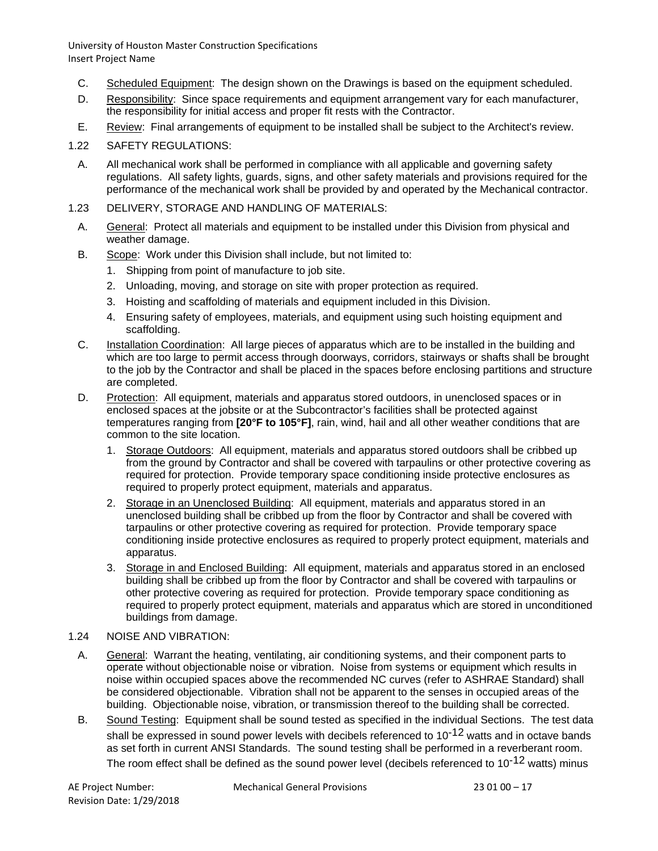- C. Scheduled Equipment: The design shown on the Drawings is based on the equipment scheduled.
- D. Responsibility: Since space requirements and equipment arrangement vary for each manufacturer, the responsibility for initial access and proper fit rests with the Contractor.
- E. Review: Final arrangements of equipment to be installed shall be subject to the Architect's review.
- 1.22 SAFETY REGULATIONS:
	- A. All mechanical work shall be performed in compliance with all applicable and governing safety regulations. All safety lights, guards, signs, and other safety materials and provisions required for the performance of the mechanical work shall be provided by and operated by the Mechanical contractor.
- 1.23 DELIVERY, STORAGE AND HANDLING OF MATERIALS:
	- A. General: Protect all materials and equipment to be installed under this Division from physical and weather damage.
	- B. Scope: Work under this Division shall include, but not limited to:
		- 1. Shipping from point of manufacture to job site.
		- 2. Unloading, moving, and storage on site with proper protection as required.
		- 3. Hoisting and scaffolding of materials and equipment included in this Division.
		- 4. Ensuring safety of employees, materials, and equipment using such hoisting equipment and scaffolding.
	- C. Installation Coordination: All large pieces of apparatus which are to be installed in the building and which are too large to permit access through doorways, corridors, stairways or shafts shall be brought to the job by the Contractor and shall be placed in the spaces before enclosing partitions and structure are completed.
	- D. Protection: All equipment, materials and apparatus stored outdoors, in unenclosed spaces or in enclosed spaces at the jobsite or at the Subcontractor's facilities shall be protected against temperatures ranging from **[20°F to 105°F]**, rain, wind, hail and all other weather conditions that are common to the site location.
		- 1. Storage Outdoors: All equipment, materials and apparatus stored outdoors shall be cribbed up from the ground by Contractor and shall be covered with tarpaulins or other protective covering as required for protection. Provide temporary space conditioning inside protective enclosures as required to properly protect equipment, materials and apparatus.
		- 2. Storage in an Unenclosed Building: All equipment, materials and apparatus stored in an unenclosed building shall be cribbed up from the floor by Contractor and shall be covered with tarpaulins or other protective covering as required for protection. Provide temporary space conditioning inside protective enclosures as required to properly protect equipment, materials and apparatus.
		- 3. Storage in and Enclosed Building: All equipment, materials and apparatus stored in an enclosed building shall be cribbed up from the floor by Contractor and shall be covered with tarpaulins or other protective covering as required for protection. Provide temporary space conditioning as required to properly protect equipment, materials and apparatus which are stored in unconditioned buildings from damage.
- 1.24 NOISE AND VIBRATION:
	- A. General: Warrant the heating, ventilating, air conditioning systems, and their component parts to operate without objectionable noise or vibration. Noise from systems or equipment which results in noise within occupied spaces above the recommended NC curves (refer to ASHRAE Standard) shall be considered objectionable. Vibration shall not be apparent to the senses in occupied areas of the building. Objectionable noise, vibration, or transmission thereof to the building shall be corrected.
	- B. Sound Testing: Equipment shall be sound tested as specified in the individual Sections. The test data shall be expressed in sound power levels with decibels referenced to  $10^{-12}$  watts and in octave bands as set forth in current ANSI Standards. The sound testing shall be performed in a reverberant room. The room effect shall be defined as the sound power level (decibels referenced to  $10^{-12}$  watts) minus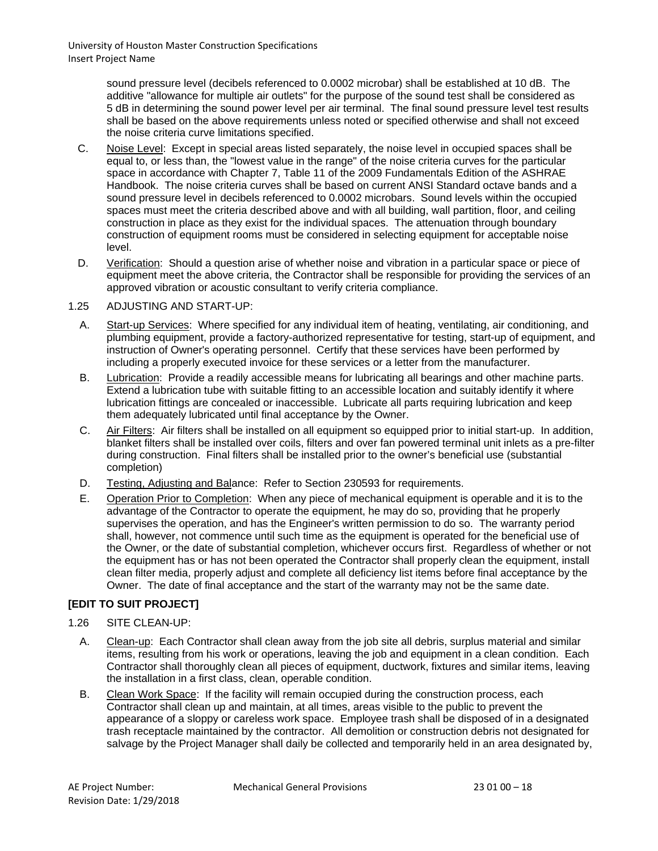> sound pressure level (decibels referenced to 0.0002 microbar) shall be established at 10 dB. The additive "allowance for multiple air outlets" for the purpose of the sound test shall be considered as 5 dB in determining the sound power level per air terminal. The final sound pressure level test results shall be based on the above requirements unless noted or specified otherwise and shall not exceed the noise criteria curve limitations specified.

- C. Noise Level: Except in special areas listed separately, the noise level in occupied spaces shall be equal to, or less than, the "lowest value in the range" of the noise criteria curves for the particular space in accordance with Chapter 7, Table 11 of the 2009 Fundamentals Edition of the ASHRAE Handbook. The noise criteria curves shall be based on current ANSI Standard octave bands and a sound pressure level in decibels referenced to 0.0002 microbars. Sound levels within the occupied spaces must meet the criteria described above and with all building, wall partition, floor, and ceiling construction in place as they exist for the individual spaces. The attenuation through boundary construction of equipment rooms must be considered in selecting equipment for acceptable noise level.
- D. Verification: Should a question arise of whether noise and vibration in a particular space or piece of equipment meet the above criteria, the Contractor shall be responsible for providing the services of an approved vibration or acoustic consultant to verify criteria compliance.

## 1.25 ADJUSTING AND START-UP:

- A. Start-up Services: Where specified for any individual item of heating, ventilating, air conditioning, and plumbing equipment, provide a factory-authorized representative for testing, start-up of equipment, and instruction of Owner's operating personnel. Certify that these services have been performed by including a properly executed invoice for these services or a letter from the manufacturer.
- B. Lubrication: Provide a readily accessible means for lubricating all bearings and other machine parts. Extend a lubrication tube with suitable fitting to an accessible location and suitably identify it where lubrication fittings are concealed or inaccessible. Lubricate all parts requiring lubrication and keep them adequately lubricated until final acceptance by the Owner.
- C. Air Filters: Air filters shall be installed on all equipment so equipped prior to initial start-up. In addition, blanket filters shall be installed over coils, filters and over fan powered terminal unit inlets as a pre-filter during construction. Final filters shall be installed prior to the owner's beneficial use (substantial completion)
- D. Testing, Adjusting and Balance: Refer to Section 230593 for requirements.
- E. Operation Prior to Completion: When any piece of mechanical equipment is operable and it is to the advantage of the Contractor to operate the equipment, he may do so, providing that he properly supervises the operation, and has the Engineer's written permission to do so. The warranty period shall, however, not commence until such time as the equipment is operated for the beneficial use of the Owner, or the date of substantial completion, whichever occurs first. Regardless of whether or not the equipment has or has not been operated the Contractor shall properly clean the equipment, install clean filter media, properly adjust and complete all deficiency list items before final acceptance by the Owner. The date of final acceptance and the start of the warranty may not be the same date.

## **[EDIT TO SUIT PROJECT]**

## 1.26 SITE CLEAN-UP:

- A. Clean-up: Each Contractor shall clean away from the job site all debris, surplus material and similar items, resulting from his work or operations, leaving the job and equipment in a clean condition. Each Contractor shall thoroughly clean all pieces of equipment, ductwork, fixtures and similar items, leaving the installation in a first class, clean, operable condition.
- B. Clean Work Space: If the facility will remain occupied during the construction process, each Contractor shall clean up and maintain, at all times, areas visible to the public to prevent the appearance of a sloppy or careless work space. Employee trash shall be disposed of in a designated trash receptacle maintained by the contractor. All demolition or construction debris not designated for salvage by the Project Manager shall daily be collected and temporarily held in an area designated by,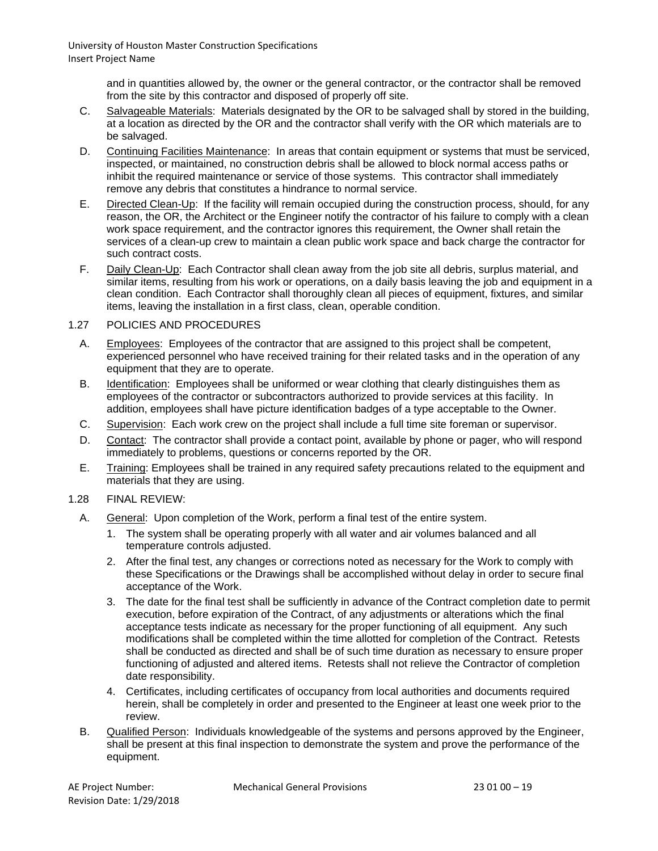> and in quantities allowed by, the owner or the general contractor, or the contractor shall be removed from the site by this contractor and disposed of properly off site.

- C. Salvageable Materials: Materials designated by the OR to be salvaged shall by stored in the building, at a location as directed by the OR and the contractor shall verify with the OR which materials are to be salvaged.
- D. Continuing Facilities Maintenance: In areas that contain equipment or systems that must be serviced, inspected, or maintained, no construction debris shall be allowed to block normal access paths or inhibit the required maintenance or service of those systems. This contractor shall immediately remove any debris that constitutes a hindrance to normal service.
- E. Directed Clean-Up: If the facility will remain occupied during the construction process, should, for any reason, the OR, the Architect or the Engineer notify the contractor of his failure to comply with a clean work space requirement, and the contractor ignores this requirement, the Owner shall retain the services of a clean-up crew to maintain a clean public work space and back charge the contractor for such contract costs.
- F. Daily Clean-Up: Each Contractor shall clean away from the job site all debris, surplus material, and similar items, resulting from his work or operations, on a daily basis leaving the job and equipment in a clean condition. Each Contractor shall thoroughly clean all pieces of equipment, fixtures, and similar items, leaving the installation in a first class, clean, operable condition.

## 1.27 POLICIES AND PROCEDURES

- A. Employees: Employees of the contractor that are assigned to this project shall be competent, experienced personnel who have received training for their related tasks and in the operation of any equipment that they are to operate.
- B. Identification: Employees shall be uniformed or wear clothing that clearly distinguishes them as employees of the contractor or subcontractors authorized to provide services at this facility. In addition, employees shall have picture identification badges of a type acceptable to the Owner.
- C. Supervision: Each work crew on the project shall include a full time site foreman or supervisor.
- D. Contact: The contractor shall provide a contact point, available by phone or pager, who will respond immediately to problems, questions or concerns reported by the OR.
- E. Training: Employees shall be trained in any required safety precautions related to the equipment and materials that they are using.
- 1.28 FINAL REVIEW:
	- A. General: Upon completion of the Work, perform a final test of the entire system.
		- 1. The system shall be operating properly with all water and air volumes balanced and all temperature controls adjusted.
		- 2. After the final test, any changes or corrections noted as necessary for the Work to comply with these Specifications or the Drawings shall be accomplished without delay in order to secure final acceptance of the Work.
		- 3. The date for the final test shall be sufficiently in advance of the Contract completion date to permit execution, before expiration of the Contract, of any adjustments or alterations which the final acceptance tests indicate as necessary for the proper functioning of all equipment. Any such modifications shall be completed within the time allotted for completion of the Contract. Retests shall be conducted as directed and shall be of such time duration as necessary to ensure proper functioning of adjusted and altered items. Retests shall not relieve the Contractor of completion date responsibility.
		- 4. Certificates, including certificates of occupancy from local authorities and documents required herein, shall be completely in order and presented to the Engineer at least one week prior to the review.
	- B. Qualified Person: Individuals knowledgeable of the systems and persons approved by the Engineer, shall be present at this final inspection to demonstrate the system and prove the performance of the equipment.